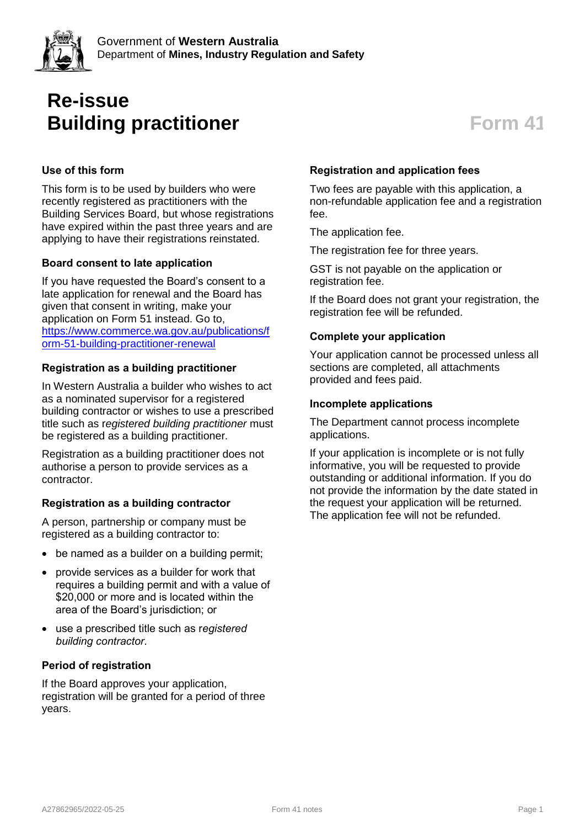

# **Re-issue Building practitioner Form** 41

# **Use of this form**

This form is to be used by builders who were recently registered as practitioners with the Building Services Board, but whose registrations have expired within the past three years and are applying to have their registrations reinstated.

### **Board consent to late application**

If you have requested the Board's consent to a late application for renewal and the Board has given that consent in writing, make your application on Form 51 instead. Go to, [https://www.commerce.wa.gov.au/publications/f](https://www.commerce.wa.gov.au/publications/form-51-building-practitioner-renewal) [orm-51-building-practitioner-renewal](https://www.commerce.wa.gov.au/publications/form-51-building-practitioner-renewal)

### **Registration as a building practitioner**

In Western Australia a builder who wishes to act as a nominated supervisor for a registered building contractor or wishes to use a prescribed title such as r*egistered building practitioner* must be registered as a building practitioner.

Registration as a building practitioner does not authorise a person to provide services as a contractor.

# **Registration as a building contractor**

A person, partnership or company must be registered as a building contractor to:

- be named as a builder on a building permit;
- provide services as a builder for work that requires a building permit and with a value of \$20,000 or more and is located within the area of the Board's jurisdiction; or
- use a prescribed title such as r*egistered building contractor*.

#### **Period of registration**

If the Board approves your application, registration will be granted for a period of three years.

### **Registration and application fees**

Two fees are payable with this application, a non-refundable application fee and a registration fee.

The application fee.

The registration fee for three years.

GST is not payable on the application or registration fee.

If the Board does not grant your registration, the registration fee will be refunded.

#### **Complete your application**

Your application cannot be processed unless all sections are completed, all attachments provided and fees paid.

#### **Incomplete applications**

The Department cannot process incomplete applications.

If your application is incomplete or is not fully informative, you will be requested to provide outstanding or additional information. If you do not provide the information by the date stated in the request your application will be returned. The application fee will not be refunded.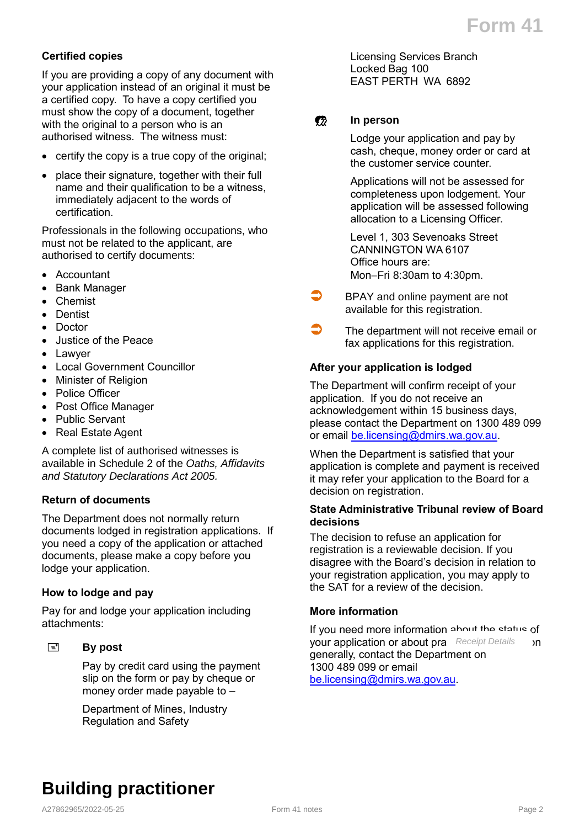### **Certified copies**

If you are providing a copy of any document with your application instead of an original it must be a certified copy. To have a copy certified you must show the copy of a document, together with the original to a person who is an authorised witness. The witness must:

- certify the copy is a true copy of the original;
- place their signature, together with their full name and their qualification to be a witness, immediately adjacent to the words of certification.

Professionals in the following occupations, who must not be related to the applicant, are authorised to certify documents:

- Accountant
- Bank Manager
- Chemist
- Dentist
- Doctor
- Justice of the Peace
- Lawyer
- Local Government Councillor
- Minister of Religion
- Police Officer
- Post Office Manager
- Public Servant
- Real Estate Agent

A complete list of authorised witnesses is available in Schedule 2 of the *Oaths, Affidavits and Statutory Declarations Act 2005.*

#### **Return of documents**

The Department does not normally return documents lodged in registration applications. If you need a copy of the application or attached documents, please make a copy before you lodge your application.

#### **How to lodge and pay**

Pay for and lodge your application including attachments:

#### **By post**

Pay by credit card using the payment slip on the form or pay by cheque or money order made payable to –

Department of Mines, Industry Regulation and Safety

Licensing Services Branch Locked Bag 100 EAST PERTH WA 6892

### **1** In person

Lodge your application and pay by cash, cheque, money order or card at the customer service counter.

Applications will not be assessed for completeness upon lodgement. Your application will be assessed following allocation to a Licensing Officer.

Level 1, 303 Sevenoaks Street CANNINGTON WA 6107 Office hours are: Mon-Fri 8:30am to 4:30pm.

- BPAY and online payment are not available for this registration.
- $\bigcirc$  The department will not receive email or fax applications for this registration.

#### **After your application is lodged**

The Department will confirm receipt of your application. If you do not receive an acknowledgement within 15 business days, please contact the Department on 1300 489 099 or email [be.licensing@dmirs.wa.gov.au.](mailto:be.licensing@dmirs.wa.gov.au)

When the Department is satisfied that your application is complete and payment is received it may refer your application to the Board for a decision on registration.

#### **State Administrative Tribunal review of Board decisions**

The decision to refuse an application for registration is a reviewable decision. If you disagree with the Board's decision in relation to your registration application, you may apply to the SAT for a review of the decision.

#### **More information**

If you need more information about the status of your application or about pra Receipt Details **n** generally, contact the Department on 1300 489 099 or email [be.licensing@dmirs.wa.gov.au.](mailto:be.licensing@dmirs.wa.gov.au)

# **Building practitioner**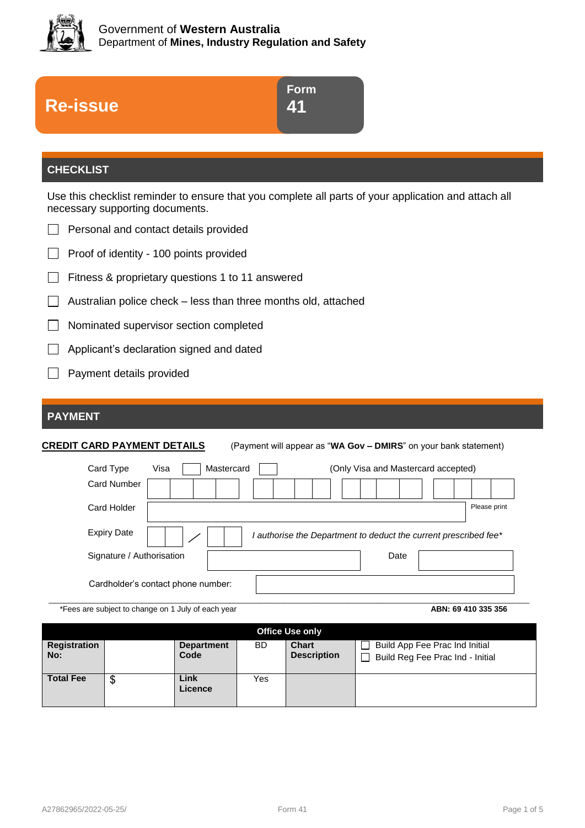

| Form |
|------|
| 41   |
|      |

# **CHECKLIST**

**Re-issue**

Use this checklist reminder to ensure that you complete all parts of your application and attach all necessary supporting documents.

|  | Personal and contact details provided |  |  |  |
|--|---------------------------------------|--|--|--|
|--|---------------------------------------|--|--|--|

 $\Box$  Proof of identity - 100 points provided

- $\Box$  Fitness & proprietary questions 1 to 11 answered
- $\Box$  Australian police check less than three months old, attached
- $\perp$ Nominated supervisor section completed
- Applicant's declaration signed and dated
- $\Box$  Payment details provided

# **PAYMENT**

**CREDIT CARD PAYMENT DETAILS** (Payment will appear as "**WA Gov – DMIRS**" on your bank statement)

| Card Type                 | Visa<br>Mastercard                 | (Only Visa and Mastercard accepted)                              |              |
|---------------------------|------------------------------------|------------------------------------------------------------------|--------------|
| <b>Card Number</b>        |                                    |                                                                  |              |
| Card Holder               |                                    |                                                                  | Please print |
| <b>Expiry Date</b>        |                                    | I authorise the Department to deduct the current prescribed fee* |              |
| Signature / Authorisation |                                    | Date                                                             |              |
|                           | Cardholder's contact phone number: |                                                                  |              |

\*Fees are subject to change on 1 July of each year **ABN: 69 410 335 356**

|                     | <b>Office Use only</b> |                           |     |                                    |                                                                    |
|---------------------|------------------------|---------------------------|-----|------------------------------------|--------------------------------------------------------------------|
| Registration<br>No: |                        | <b>Department</b><br>Code | BD  | <b>Chart</b><br><b>Description</b> | Build App Fee Prac Ind Initial<br>Build Reg Fee Prac Ind - Initial |
| <b>Total Fee</b>    | Φ<br>จ                 | Link<br>Licence           | Yes |                                    |                                                                    |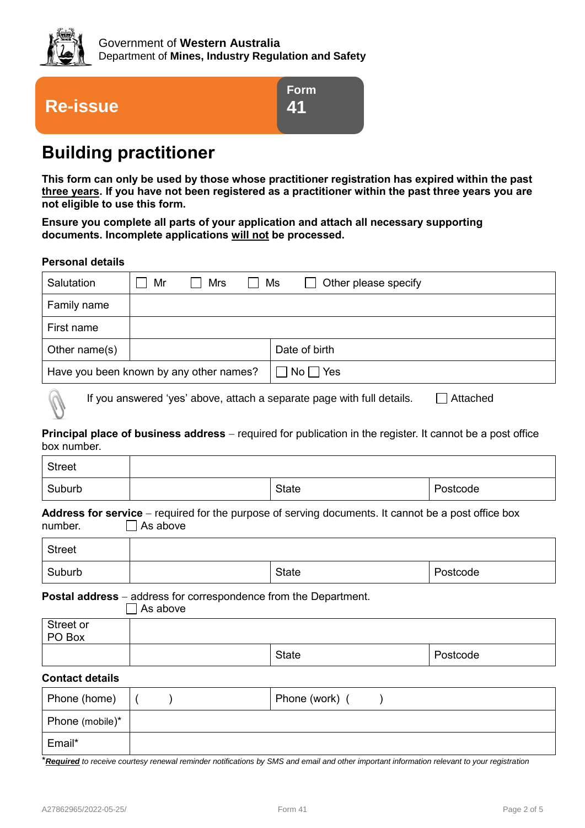



**Form 41**

# **Building practitioner**

**This form can only be used by those whose practitioner registration has expired within the past three years. If you have not been registered as a practitioner within the past three years you are not eligible to use this form.**

**Ensure you complete all parts of your application and attach all necessary supporting documents. Incomplete applications will not be processed.**

#### **Personal details**

| Salutation                                                                         | Mr | Mrs | $\mathbf{I}$ | Ms<br>Other please specify                               |
|------------------------------------------------------------------------------------|----|-----|--------------|----------------------------------------------------------|
| Family name                                                                        |    |     |              |                                                          |
| First name                                                                         |    |     |              |                                                          |
| Other name $(s)$                                                                   |    |     |              | Date of birth                                            |
| Have you been known by any other names?                                            |    |     |              | $\overline{\phantom{a}}$ No $\overline{\phantom{a}}$ Yes |
| If you answered 'yes' above, attach a separate page with full details.<br>Attached |    |     |              |                                                          |

**Principal place of business address** – required for publication in the register. It cannot be a post office

box number.

| <b>Street</b>                                                                                                                     |  |              |          |  |  |
|-----------------------------------------------------------------------------------------------------------------------------------|--|--------------|----------|--|--|
| Suburb                                                                                                                            |  | State        | Postcode |  |  |
| <b>Address for service</b> – required for the purpose of serving documents. It cannot be a post office box<br>As above<br>number. |  |              |          |  |  |
| <b>Street</b>                                                                                                                     |  |              |          |  |  |
| Suburb                                                                                                                            |  | <b>State</b> | Postcode |  |  |
| <b>Postal address</b> – address for correspondence from the Department.<br>As above                                               |  |              |          |  |  |
| Street or<br>PO Box                                                                                                               |  |              |          |  |  |
|                                                                                                                                   |  | <b>State</b> | Postcode |  |  |
| Contact dotaile                                                                                                                   |  |              |          |  |  |

#### **Contact details**

| Phone (home)    |  | Phone (work) ( |  |
|-----------------|--|----------------|--|
| Phone (mobile)* |  |                |  |
| Email*          |  |                |  |

\**Required to receive courtesy renewal reminder notifications by SMS and email and other important information relevant to your registration*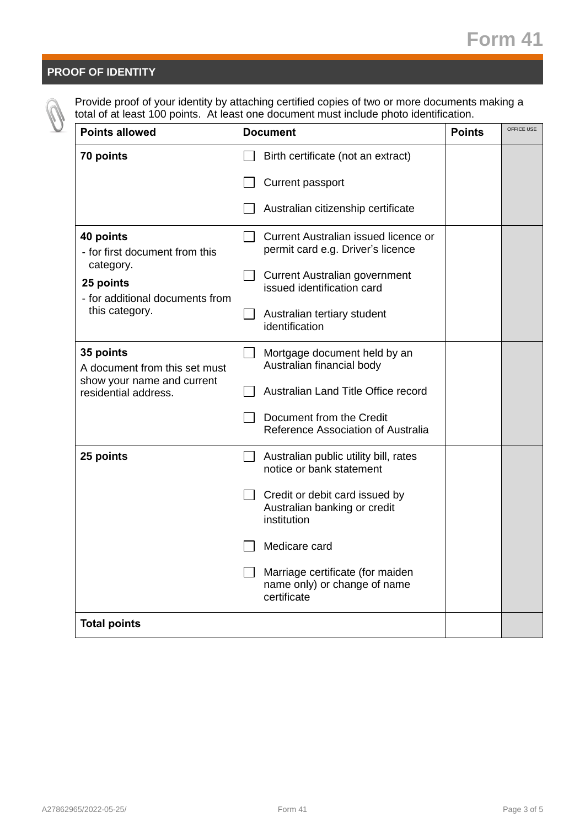# **PROOF OF IDENTITY**

Provide proof of your identity by attaching certified copies of two or more documents making a total of at least 100 points. At least one document must include photo identification.

| <b>Points allowed</b>                                                                                    | <b>Document</b>                                                                 |  | OFFICE USE |
|----------------------------------------------------------------------------------------------------------|---------------------------------------------------------------------------------|--|------------|
| 70 points                                                                                                | Birth certificate (not an extract)                                              |  |            |
|                                                                                                          | Current passport                                                                |  |            |
|                                                                                                          | Australian citizenship certificate                                              |  |            |
| 40 points<br>- for first document from this<br>category.<br>25 points<br>- for additional documents from | Current Australian issued licence or<br>permit card e.g. Driver's licence       |  |            |
|                                                                                                          | <b>Current Australian government</b><br>issued identification card              |  |            |
| this category.                                                                                           | Australian tertiary student<br>identification                                   |  |            |
| 35 points<br>A document from this set must                                                               | Mortgage document held by an<br>Australian financial body                       |  |            |
| show your name and current<br>residential address.                                                       | Australian Land Title Office record                                             |  |            |
|                                                                                                          | Document from the Credit<br>Reference Association of Australia                  |  |            |
| 25 points                                                                                                | Australian public utility bill, rates<br>notice or bank statement               |  |            |
|                                                                                                          | Credit or debit card issued by<br>Australian banking or credit<br>institution   |  |            |
|                                                                                                          | Medicare card                                                                   |  |            |
|                                                                                                          | Marriage certificate (for maiden<br>name only) or change of name<br>certificate |  |            |
| <b>Total points</b>                                                                                      |                                                                                 |  |            |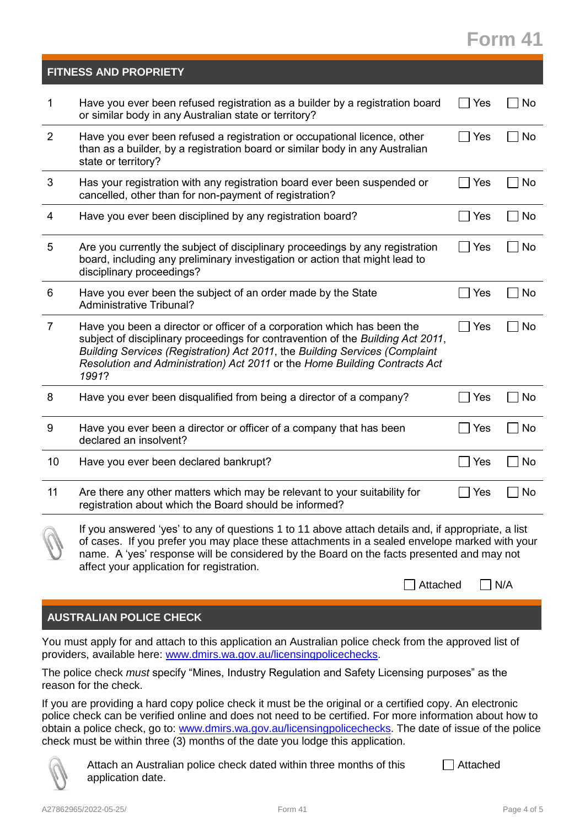# **Form 41**

| Have you ever been refused registration as a builder by a registration board<br>$\mathbf{1}$<br>No<br>Yes<br>or similar body in any Australian state or territory?<br>$\overline{2}$<br>Have you ever been refused a registration or occupational licence, other<br>No<br>Yes<br>$\blacksquare$<br>than as a builder, by a registration board or similar body in any Australian<br>state or territory?<br>3<br>Has your registration with any registration board ever been suspended or<br>Yes<br>No<br>cancelled, other than for non-payment of registration?<br>No<br>Have you ever been disciplined by any registration board?<br>Yes<br>4<br>$\blacksquare$<br>Are you currently the subject of disciplinary proceedings by any registration<br>No<br>5<br>Yes<br>$\blacksquare$<br>board, including any preliminary investigation or action that might lead to<br>disciplinary proceedings?<br>Have you ever been the subject of an order made by the State<br>No<br>Yes<br>6<br><b>Administrative Tribunal?</b><br>$\overline{7}$<br>Have you been a director or officer of a corporation which has been the<br>Yes<br>No<br>$\blacksquare$<br>subject of disciplinary proceedings for contravention of the Building Act 2011,<br>Building Services (Registration) Act 2011, the Building Services (Complaint<br>Resolution and Administration) Act 2011 or the Home Building Contracts Act<br>1991?<br>8<br>Have you ever been disqualified from being a director of a company?<br>Yes<br>No<br>Have you ever been a director or officer of a company that has been<br>9<br>No<br>Yes<br>declared an insolvent?<br>Have you ever been declared bankrupt?<br>10<br>No<br>Yes<br>Are there any other matters which may be relevant to your suitability for<br>11<br>No<br>Yes<br>registration about which the Board should be informed?<br>If you answered 'yes' to any of questions 1 to 11 above attach details and, if appropriate, a list<br>of cases. If you prefer you may place these attachments in a sealed envelope marked with your<br>name. A 'yes' response will be considered by the Board on the facts presented and may not<br>affect your application for registration.<br>Attached<br>N/A | <b>FITNESS AND PROPRIETY</b> |  |
|------------------------------------------------------------------------------------------------------------------------------------------------------------------------------------------------------------------------------------------------------------------------------------------------------------------------------------------------------------------------------------------------------------------------------------------------------------------------------------------------------------------------------------------------------------------------------------------------------------------------------------------------------------------------------------------------------------------------------------------------------------------------------------------------------------------------------------------------------------------------------------------------------------------------------------------------------------------------------------------------------------------------------------------------------------------------------------------------------------------------------------------------------------------------------------------------------------------------------------------------------------------------------------------------------------------------------------------------------------------------------------------------------------------------------------------------------------------------------------------------------------------------------------------------------------------------------------------------------------------------------------------------------------------------------------------------------------------------------------------------------------------------------------------------------------------------------------------------------------------------------------------------------------------------------------------------------------------------------------------------------------------------------------------------------------------------------------------------------------------------------------------------------------------------------------------------------------------|------------------------------|--|
|                                                                                                                                                                                                                                                                                                                                                                                                                                                                                                                                                                                                                                                                                                                                                                                                                                                                                                                                                                                                                                                                                                                                                                                                                                                                                                                                                                                                                                                                                                                                                                                                                                                                                                                                                                                                                                                                                                                                                                                                                                                                                                                                                                                                                  |                              |  |
|                                                                                                                                                                                                                                                                                                                                                                                                                                                                                                                                                                                                                                                                                                                                                                                                                                                                                                                                                                                                                                                                                                                                                                                                                                                                                                                                                                                                                                                                                                                                                                                                                                                                                                                                                                                                                                                                                                                                                                                                                                                                                                                                                                                                                  |                              |  |
|                                                                                                                                                                                                                                                                                                                                                                                                                                                                                                                                                                                                                                                                                                                                                                                                                                                                                                                                                                                                                                                                                                                                                                                                                                                                                                                                                                                                                                                                                                                                                                                                                                                                                                                                                                                                                                                                                                                                                                                                                                                                                                                                                                                                                  |                              |  |
|                                                                                                                                                                                                                                                                                                                                                                                                                                                                                                                                                                                                                                                                                                                                                                                                                                                                                                                                                                                                                                                                                                                                                                                                                                                                                                                                                                                                                                                                                                                                                                                                                                                                                                                                                                                                                                                                                                                                                                                                                                                                                                                                                                                                                  |                              |  |
|                                                                                                                                                                                                                                                                                                                                                                                                                                                                                                                                                                                                                                                                                                                                                                                                                                                                                                                                                                                                                                                                                                                                                                                                                                                                                                                                                                                                                                                                                                                                                                                                                                                                                                                                                                                                                                                                                                                                                                                                                                                                                                                                                                                                                  |                              |  |
|                                                                                                                                                                                                                                                                                                                                                                                                                                                                                                                                                                                                                                                                                                                                                                                                                                                                                                                                                                                                                                                                                                                                                                                                                                                                                                                                                                                                                                                                                                                                                                                                                                                                                                                                                                                                                                                                                                                                                                                                                                                                                                                                                                                                                  |                              |  |
|                                                                                                                                                                                                                                                                                                                                                                                                                                                                                                                                                                                                                                                                                                                                                                                                                                                                                                                                                                                                                                                                                                                                                                                                                                                                                                                                                                                                                                                                                                                                                                                                                                                                                                                                                                                                                                                                                                                                                                                                                                                                                                                                                                                                                  |                              |  |
|                                                                                                                                                                                                                                                                                                                                                                                                                                                                                                                                                                                                                                                                                                                                                                                                                                                                                                                                                                                                                                                                                                                                                                                                                                                                                                                                                                                                                                                                                                                                                                                                                                                                                                                                                                                                                                                                                                                                                                                                                                                                                                                                                                                                                  |                              |  |
|                                                                                                                                                                                                                                                                                                                                                                                                                                                                                                                                                                                                                                                                                                                                                                                                                                                                                                                                                                                                                                                                                                                                                                                                                                                                                                                                                                                                                                                                                                                                                                                                                                                                                                                                                                                                                                                                                                                                                                                                                                                                                                                                                                                                                  |                              |  |
|                                                                                                                                                                                                                                                                                                                                                                                                                                                                                                                                                                                                                                                                                                                                                                                                                                                                                                                                                                                                                                                                                                                                                                                                                                                                                                                                                                                                                                                                                                                                                                                                                                                                                                                                                                                                                                                                                                                                                                                                                                                                                                                                                                                                                  |                              |  |
|                                                                                                                                                                                                                                                                                                                                                                                                                                                                                                                                                                                                                                                                                                                                                                                                                                                                                                                                                                                                                                                                                                                                                                                                                                                                                                                                                                                                                                                                                                                                                                                                                                                                                                                                                                                                                                                                                                                                                                                                                                                                                                                                                                                                                  |                              |  |
|                                                                                                                                                                                                                                                                                                                                                                                                                                                                                                                                                                                                                                                                                                                                                                                                                                                                                                                                                                                                                                                                                                                                                                                                                                                                                                                                                                                                                                                                                                                                                                                                                                                                                                                                                                                                                                                                                                                                                                                                                                                                                                                                                                                                                  |                              |  |
|                                                                                                                                                                                                                                                                                                                                                                                                                                                                                                                                                                                                                                                                                                                                                                                                                                                                                                                                                                                                                                                                                                                                                                                                                                                                                                                                                                                                                                                                                                                                                                                                                                                                                                                                                                                                                                                                                                                                                                                                                                                                                                                                                                                                                  |                              |  |

# **AUSTRALIAN POLICE CHECK**

You must apply for and attach to this application an Australian police check from the approved list of providers, available here: [www.dmirs.wa.gov.au/licensingpolicechecks.](http://www.dmirs.wa.gov.au/licensingpolicechecks)

The police check *must* specify "Mines, Industry Regulation and Safety Licensing purposes" as the reason for the check.

If you are providing a hard copy police check it must be the original or a certified copy. An electronic police check can be verified online and does not need to be certified. For more information about how to obtain a police check, go to: [www.dmirs.wa.gov.au/licensingpolicechecks.](http://www.dmirs.wa.gov.au/licensingpolicechecks) The date of issue of the police check must be within three (3) months of the date you lodge this application.



Attach an Australian police check dated within three months of this application date. **□** Attached